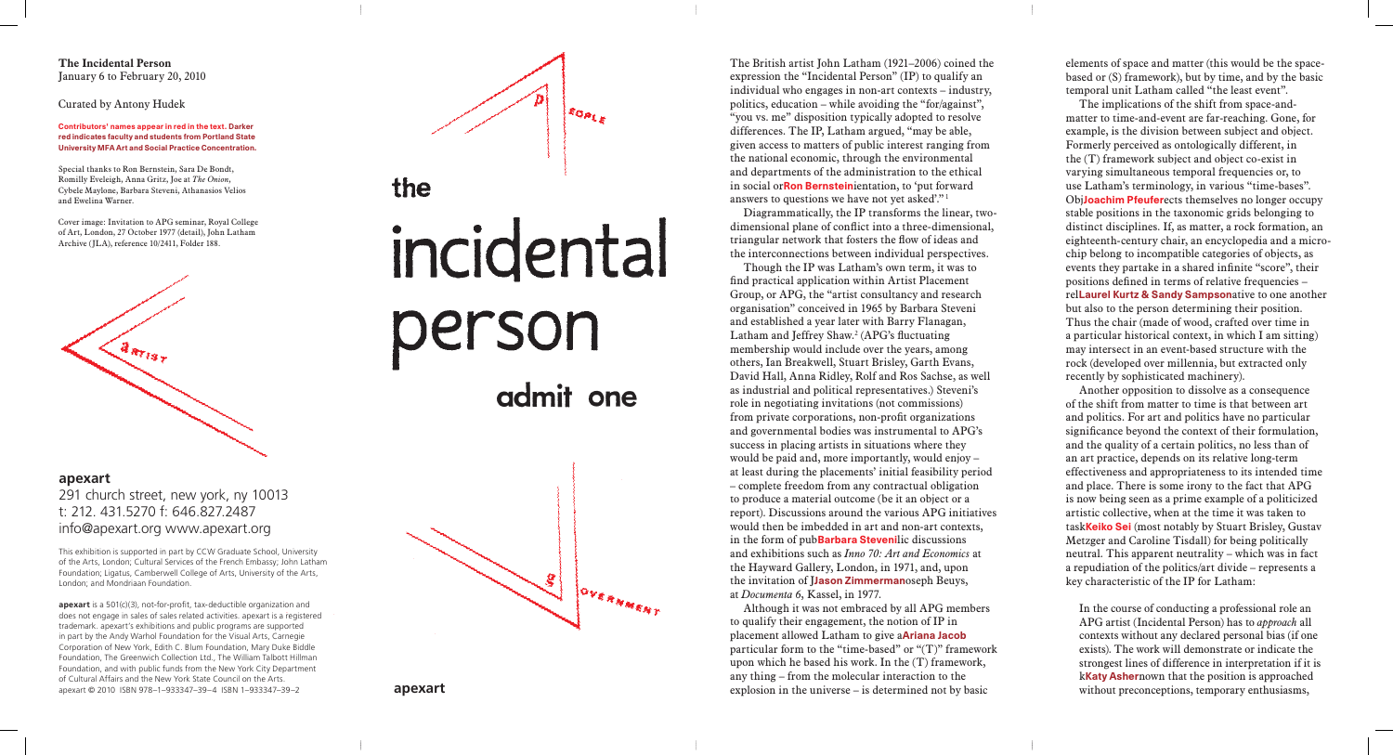The British artist John Latham (1921–2006) coined the expression the "Incidental Person" (IP) to qualify an individual who engages in non-art contexts – industry, politics, education – while avoiding the "for/against", "you vs. me" disposition typically adopted to resolve differences. The IP, Latham argued, "may be able, given access to matters of public interest ranging from the national economic, through the environmental and departments of the administration to the ethical in social orRon Bernsteinientation, to 'put forward answers to questions we have not yet asked'." 1

Diagrammatically, the IP transforms the linear, twodimensional plane of conflict into a three-dimensional, triangular network that fosters the flow of ideas and the interconnections between individual perspectives.

Though the IP was Latham's own term, it was to find practical application within Artist Placement Group, or APG, the "artist consultancy and research organisation" conceived in 1965 by Barbara Steveni and established a year later with Barry Flanagan, Latham and Jeffrey Shaw. 2 (APG's fluctuating membership would include over the years, among others, Ian Breakwell, Stuart Brisley, Garth Evans, David Hall, Anna Ridley, Rolf and Ros Sachse, as well as industrial and political representatives.) Steveni's role in negotiating invitations (not commissions) from private corporations, non-profit organizations and governmental bodies was instrumental to APG's success in placing artists in situations where they would be paid and, more importantly, would enjoy – at least during the placements' initial feasibility period – complete freedom from any contractual obligation to produce a material outcome (be it an object or a report). Discussions around the various APG initiatives would then be imbedded in art and non-art contexts, in the form of pubBarbara Stevenilic discussions and exhibitions such as *Inno 70: Art and Economics* at the Hayward Gallery, London, in 1971, and, upon the invitation of **Jason Zimmerman**oseph Beuys, at *Documenta 6*, Kassel, in 1977.

Although it was not embraced by all APG members to qualify their engagement, the notion of IP in placement allowed Latham to give aAriana Jacob particular form to the "time-based" or " $(T)$ " framework upon which he based his work. In the (T) framework, any thing – from the molecular interaction to the explosion in the universe – is determined not by basic

elements of space and matter (this would be the spacebased or (S) framework), but by time, and by the basic temporal unit Latham called "the least event". The implications of the shift from space-andmatter to time-and-event are far-reaching. Gone, for example, is the division between subject and object. Formerly perceived as ontologically different, in the (T) framework subject and object co-exist in varying simultaneous temporal frequencies or, to use Latham's terminology, in various "time-bases". ObjJoachim Pfeuferects themselves no longer occupy stable positions in the taxonomic grids belonging to distinct disciplines. If, as matter, a rock formation, an eighteenth-century chair, an encyclopedia and a microchip belong to incompatible categories of objects, as events they partake in a shared infinite "score", their positions defined in terms of relative frequencies – relLaurel Kurtz & Sandy Sampsonative to one another but also to the person determining their position. Thus the chair (made of wood, crafted over time in a particular historical context, in which I am sitting) may intersect in an event-based structure with the rock (developed over millennia, but extracted only recently by sophisticated machinery). Another opposition to dissolve as a consequence of the shift from matter to time is that between art and politics. For art and politics have no particular significance beyond the context of their formulation, and the quality of a certain politics, no less than of an art practice, depends on its relative long-term effectiveness and appropriateness to its intended time and place. There is some irony to the fact that APG is now being seen as a prime example of a politicized artistic collective, when at the time it was taken to task**Keiko Sei** (most notably by Stuart Brisley, Gustav Metzger and Caroline Tisdall) for being politically neutral. This apparent neutrality – which was in fact a repudiation of the politics/art divide – represents a key characteristic of the IP for Latham: In the course of conducting a professional role an APG artist (Incidental Person) has to *approach* all

contexts without any declared personal bias (if one exists). The work will demonstrate or indicate the strongest lines of difference in interpretation if it is kKaty Ashernown that the position is approached without preconceptions, temporary enthusiasms,

**The Incidental Person** January 6 to February 20, 2010

## Curated by Antony Hudek

Contributors' names appear in red in the text. Darker red indicates faculty and students from Portland State University MFA Art and Social Practice Concentration.

Special thanks to Ron Bernstein, Sara De Bondt, Romilly Eveleigh, Anna Gritz, Joe at *The Onion*, Cybele Maylone, Barbara Steveni, Athanasios Velios and Ewelina Warner.

Cover image: Invitation to APG seminar, Royal College of Art, London, 27 October 1977 (detail), John Latham Archive (JLA), reference 10/2411, Folder 188.



**apexart** 291 church street, new york, ny 10013 t: 212. 431.5270 f: 646.827.2487 info@apexart.org www.apexart.org

This exhibition is supported in part by CCW Graduate School, University of the Arts, London; Cultural Services of the French Embassy; John Latham Foundation; Ligatus, Camberwell College of Arts, University of the Arts, London; and Mondriaan Foundation.

**apexart** is a 501(c)(3), not-for-profit, tax-deductible organization and does not engage in sales of sales related activities. apexart is a registered trademark. apexart's exhibitions and public programs are supported in part by the Andy Warhol Foundation for the Visual Arts, Carnegie Corporation of New York, Edith C. Blum Foundation, Mary Duke Biddle Foundation, The Greenwich Collection Ltd., The William Talbott Hillman Foundation, and with public funds from the New York City Department of Cultural Affairs and the New York State Council on the Arts. apexart © 2010 ISBN 978–1–933347–39–4 ISBN 1–933347–39–2 **apexart**

## **EOPLE** the incidental person admit one